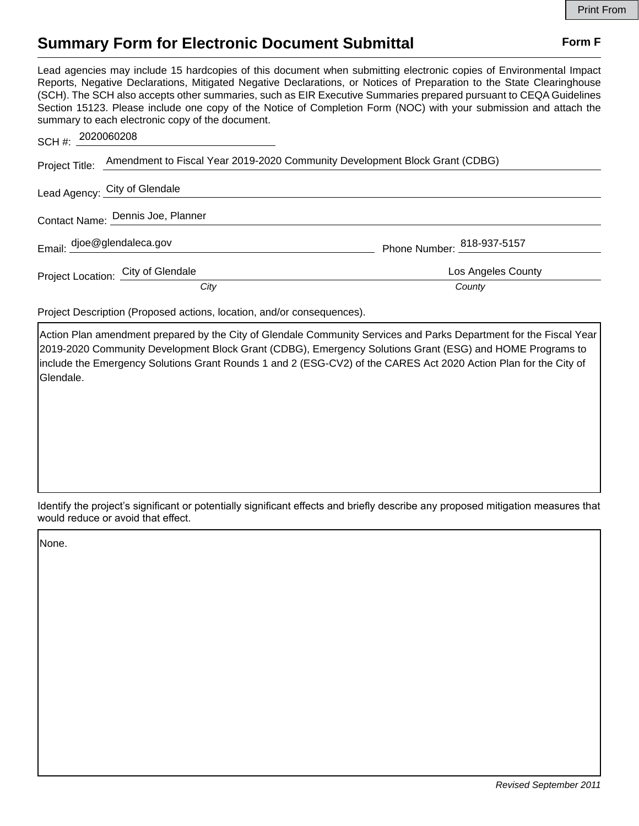## **Summary Form for Electronic Document Submittal Form F Form F**

Lead agencies may include 15 hardcopies of this document when submitting electronic copies of Environmental Impact Reports, Negative Declarations, Mitigated Negative Declarations, or Notices of Preparation to the State Clearinghouse (SCH). The SCH also accepts other summaries, such as EIR Executive Summaries prepared pursuant to CEQA Guidelines Section 15123. Please include one copy of the Notice of Completion Form (NOC) with your submission and attach the summary to each electronic copy of the document.

| SCH #: 2020060208 |                                                                                            |                            |
|-------------------|--------------------------------------------------------------------------------------------|----------------------------|
|                   | Project Title: Amendment to Fiscal Year 2019-2020 Community Development Block Grant (CDBG) |                            |
|                   | Lead Agency: City of Glendale                                                              |                            |
|                   | Contact Name: Dennis Joe, Planner                                                          |                            |
|                   | Email: djoe@glendaleca.gov                                                                 | Phone Number: 818-937-5157 |
|                   | Project Location: City of Glendale                                                         | Los Angeles County         |
|                   | City                                                                                       | County                     |

Project Description (Proposed actions, location, and/or consequences).

Action Plan amendment prepared by the City of Glendale Community Services and Parks Department for the Fiscal Year 2019-2020 Community Development Block Grant (CDBG), Emergency Solutions Grant (ESG) and HOME Programs to include the Emergency Solutions Grant Rounds 1 and 2 (ESG-CV2) of the CARES Act 2020 Action Plan for the City of Glendale.

Identify the project's significant or potentially significant effects and briefly describe any proposed mitigation measures that would reduce or avoid that effect.

None.